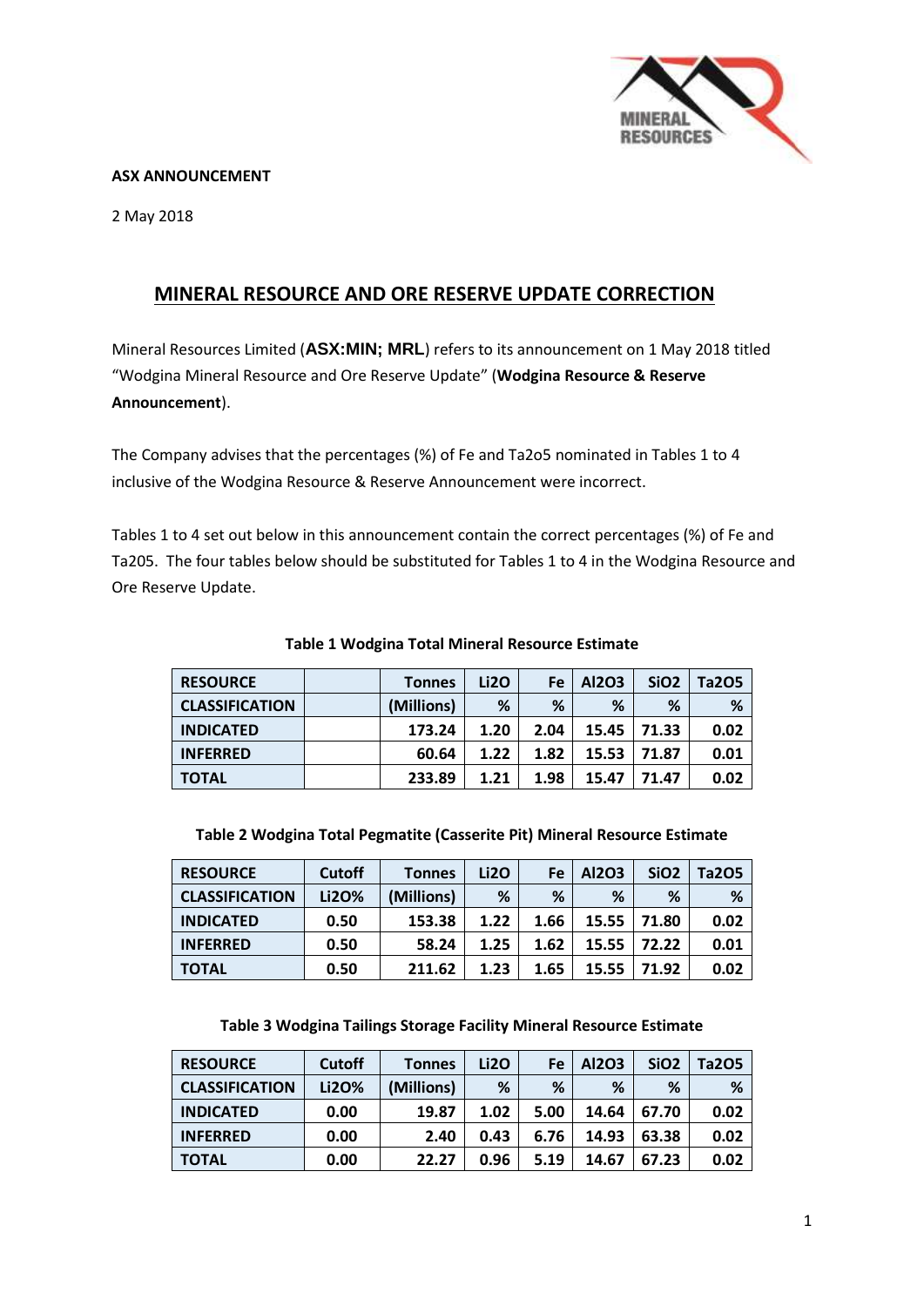

### **ASX ANNOUNCEMENT**

2 May 2018

# **MINERAL RESOURCE AND ORE RESERVE UPDATE CORRECTION**

Mineral Resources Limited (**ASX:MIN; MRL**) refers to its announcement on 1 May 2018 titled "Wodgina Mineral Resource and Ore Reserve Update" (**Wodgina Resource & Reserve Announcement**).

The Company advises that the percentages (%) of Fe and Ta2o5 nominated in Tables 1 to 4 inclusive of the Wodgina Resource & Reserve Announcement were incorrect.

Tables 1 to 4 set out below in this announcement contain the correct percentages (%) of Fe and Ta205. The four tables below should be substituted for Tables 1 to 4 in the Wodgina Resource and Ore Reserve Update.

| <b>RESOURCE</b>       | <b>Tonnes</b> | Li2O | <b>Fe</b> | Al2O3 | SiO <sub>2</sub> | Ta205 |
|-----------------------|---------------|------|-----------|-------|------------------|-------|
| <b>CLASSIFICATION</b> | (Millions)    | %    | %         | %     | %                | %     |
| <b>INDICATED</b>      | 173.24        | 1.20 | 2.04      | 15.45 | 71.33            | 0.02  |
| <b>INFERRED</b>       | 60.64         | 1.22 | 1.82      | 15.53 | 71.87            | 0.01  |
| <b>TOTAL</b>          | 233.89        | 1.21 | 1.98      | 15.47 | 71.47            | 0.02  |

### **Table 1 Wodgina Total Mineral Resource Estimate**

| Table 2 Wodgina Total Pegmatite (Casserite Pit) Mineral Resource Estimate |  |  |
|---------------------------------------------------------------------------|--|--|
|                                                                           |  |  |

| <b>RESOURCE</b>       | <b>Cutoff</b> | <b>Tonnes</b> | Li2O | Fe   | Al2O3 | SiO <sub>2</sub> | Ta2O5 |
|-----------------------|---------------|---------------|------|------|-------|------------------|-------|
| <b>CLASSIFICATION</b> | Li20%         | (Millions)    | %    | %    | %     | %                | %     |
| <b>INDICATED</b>      | 0.50          | 153.38        | 1.22 | 1.66 | 15.55 | 71.80            | 0.02  |
| <b>INFERRED</b>       | 0.50          | 58.24         | 1.25 | 1.62 | 15.55 | 72.22            | 0.01  |
| <b>TOTAL</b>          | 0.50          | 211.62        | 1.23 | 1.65 | 15.55 | 71.92            | 0.02  |

**Table 3 Wodgina Tailings Storage Facility Mineral Resource Estimate**

| <b>RESOURCE</b>       | <b>Cutoff</b> | <b>Tonnes</b> | Li2O | Fe   | Al2O3 | SiO <sub>2</sub> | Ta2O5 |
|-----------------------|---------------|---------------|------|------|-------|------------------|-------|
| <b>CLASSIFICATION</b> | Li2O%         | (Millions)    | %    | %    | %     | %                | %     |
| <b>INDICATED</b>      | 0.00          | 19.87         | 1.02 | 5.00 | 14.64 | 67.70            | 0.02  |
| <b>INFERRED</b>       | 0.00          | 2.40          | 0.43 | 6.76 | 14.93 | 63.38            | 0.02  |
| <b>TOTAL</b>          | 0.00          | 22.27         | 0.96 | 5.19 | 14.67 | 67.23            | 0.02  |